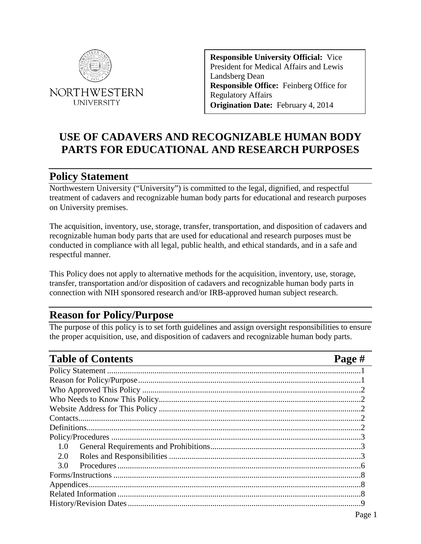

**Responsible University Official:** Vice President for Medical Affairs and Lewis Landsberg Dean **Responsible Office:** Feinberg Office for Regulatory Affairs **Origination Date:** February 4, 2014

# **USE OF CADAVERS AND RECOGNIZABLE HUMAN BODY PARTS FOR EDUCATIONAL AND RESEARCH PURPOSES**

# <span id="page-0-0"></span>**Policy Statement**

Northwestern University ("University") is committed to the legal, dignified, and respectful treatment of cadavers and recognizable human body parts for educational and research purposes on University premises.

The acquisition, inventory, use, storage, transfer, transportation, and disposition of cadavers and recognizable human body parts that are used for educational and research purposes must be conducted in compliance with all legal, public health, and ethical standards, and in a safe and respectful manner.

This Policy does not apply to alternative methods for the acquisition, inventory, use, storage, transfer, transportation and/or disposition of cadavers and recognizable human body parts in connection with NIH sponsored research and/or IRB-approved human subject research.

# <span id="page-0-1"></span>**Reason for Policy/Purpose**

The purpose of this policy is to set forth guidelines and assign oversight responsibilities to ensure the proper acquisition, use, and disposition of cadavers and recognizable human body parts.

| <b>Table of Contents</b> | Page # |
|--------------------------|--------|
|                          |        |
|                          |        |
|                          |        |
|                          |        |
|                          |        |
|                          |        |
|                          |        |
|                          |        |
| 1.0                      |        |
| 2.0                      |        |
| 3.0                      |        |
|                          |        |
|                          |        |
|                          |        |
|                          |        |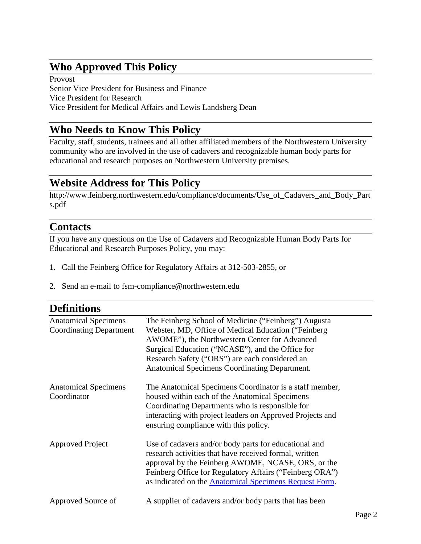# <span id="page-1-0"></span>**Who Approved This Policy**

Provost Senior Vice President for Business and Finance Vice President for Research Vice President for Medical Affairs and Lewis Landsberg Dean

# <span id="page-1-1"></span>**Who Needs to Know This Policy**

Faculty, staff, students, trainees and all other affiliated members of the Northwestern University community who are involved in the use of cadavers and recognizable human body parts for educational and research purposes on Northwestern University premises.

# <span id="page-1-2"></span>**Website Address for This Policy**

http://www.feinberg.northwestern.edu/compliance/documents/Use\_of\_Cadavers\_and\_Body\_Part s.pdf

### <span id="page-1-3"></span>**Contacts**

If you have any questions on the Use of Cadavers and Recognizable Human Body Parts for Educational and Research Purposes Policy, you may:

- 1. Call the Feinberg Office for Regulatory Affairs at 312-503-2855, or
- 2. Send an e-mail to fsm-compliance@northwestern.edu

<span id="page-1-4"></span>

| <b>Definitions</b>                                            |                                                                                                                                                                                                                                                                                                                      |
|---------------------------------------------------------------|----------------------------------------------------------------------------------------------------------------------------------------------------------------------------------------------------------------------------------------------------------------------------------------------------------------------|
| <b>Anatomical Specimens</b><br><b>Coordinating Department</b> | The Feinberg School of Medicine ("Feinberg") Augusta<br>Webster, MD, Office of Medical Education ("Feinberg"<br>AWOME"), the Northwestern Center for Advanced<br>Surgical Education ("NCASE"), and the Office for<br>Research Safety ("ORS") are each considered an<br>Anatomical Specimens Coordinating Department. |
| <b>Anatomical Specimens</b><br>Coordinator                    | The Anatomical Specimens Coordinator is a staff member,<br>housed within each of the Anatomical Specimens<br>Coordinating Departments who is responsible for<br>interacting with project leaders on Approved Projects and<br>ensuring compliance with this policy.                                                   |
| <b>Approved Project</b>                                       | Use of cadavers and/or body parts for educational and<br>research activities that have received formal, written<br>approval by the Feinberg AWOME, NCASE, ORS, or the<br>Feinberg Office for Regulatory Affairs ("Feinberg ORA")<br>as indicated on the <b>Anatomical Specimens Request Form</b> .                   |
| Approved Source of                                            | A supplier of cadavers and/or body parts that has been                                                                                                                                                                                                                                                               |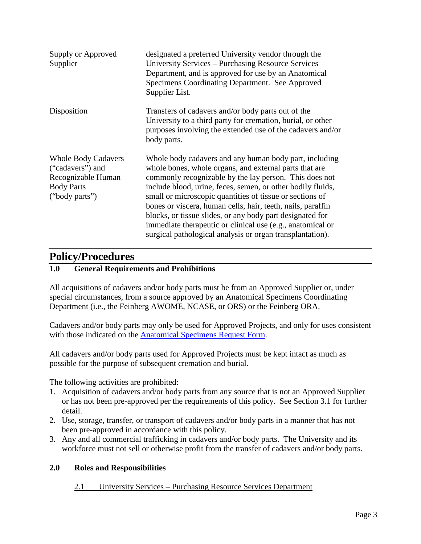| Supply or Approved<br>Supplier                                                                              | designated a preferred University vendor through the<br>University Services - Purchasing Resource Services<br>Department, and is approved for use by an Anatomical<br>Specimens Coordinating Department. See Approved<br>Supplier List.                                                                                                                                                                                                                                                                                                                      |
|-------------------------------------------------------------------------------------------------------------|--------------------------------------------------------------------------------------------------------------------------------------------------------------------------------------------------------------------------------------------------------------------------------------------------------------------------------------------------------------------------------------------------------------------------------------------------------------------------------------------------------------------------------------------------------------|
| Disposition                                                                                                 | Transfers of cadavers and/or body parts out of the<br>University to a third party for cremation, burial, or other<br>purposes involving the extended use of the cadavers and/or<br>body parts.                                                                                                                                                                                                                                                                                                                                                               |
| <b>Whole Body Cadavers</b><br>("cadavers") and<br>Recognizable Human<br><b>Body Parts</b><br>("body parts") | Whole body cadavers and any human body part, including<br>whole bones, whole organs, and external parts that are<br>commonly recognizable by the lay person. This does not<br>include blood, urine, feces, semen, or other bodily fluids,<br>small or microscopic quantities of tissue or sections of<br>bones or viscera, human cells, hair, teeth, nails, paraffin<br>blocks, or tissue slides, or any body part designated for<br>immediate therapeutic or clinical use (e.g., anatomical or<br>surgical pathological analysis or organ transplantation). |

# <span id="page-2-0"></span>**Policy/Procedures**

### <span id="page-2-1"></span>**1.0 General Requirements and Prohibitions**

All acquisitions of cadavers and/or body parts must be from an Approved Supplier or, under special circumstances, from a source approved by an Anatomical Specimens Coordinating Department (i.e., the Feinberg AWOME, NCASE, or ORS) or the Feinberg ORA.

Cadavers and/or body parts may only be used for Approved Projects, and only for uses consistent with those indicated on the [Anatomical Specimens Request Form.](https://forms.feinberg.northwestern.edu/view.php?id=203857)

All cadavers and/or body parts used for Approved Projects must be kept intact as much as possible for the purpose of subsequent cremation and burial.

The following activities are prohibited:

- 1. Acquisition of cadavers and/or body parts from any source that is not an Approved Supplier or has not been pre-approved per the requirements of this policy. See Section 3.1 for further detail.
- 2. Use, storage, transfer, or transport of cadavers and/or body parts in a manner that has not been pre-approved in accordance with this policy.
- 3. Any and all commercial trafficking in cadavers and/or body parts. The University and its workforce must not sell or otherwise profit from the transfer of cadavers and/or body parts.

### <span id="page-2-2"></span>**2.0 Roles and Responsibilities**

#### 2.1 University Services – Purchasing Resource Services Department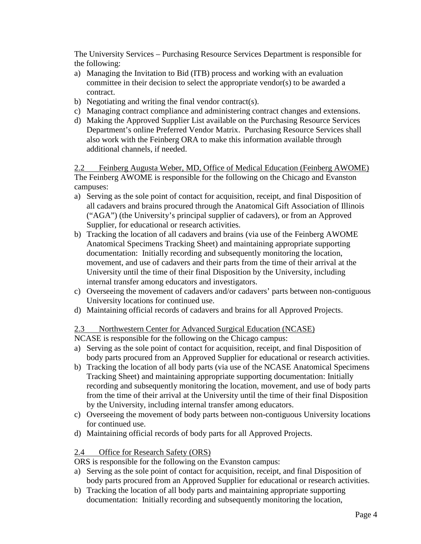The University Services – Purchasing Resource Services Department is responsible for the following:

- a) Managing the Invitation to Bid (ITB) process and working with an evaluation committee in their decision to select the appropriate vendor(s) to be awarded a contract.
- b) Negotiating and writing the final vendor contract(s).
- c) Managing contract compliance and administering contract changes and extensions.
- d) Making the Approved Supplier List available on the Purchasing Resource Services Department's online Preferred Vendor Matrix. Purchasing Resource Services shall also work with the Feinberg ORA to make this information available through additional channels, if needed.

2.2 Feinberg Augusta Weber, MD, Office of Medical Education (Feinberg AWOME) The Feinberg AWOME is responsible for the following on the Chicago and Evanston campuses:

- a) Serving as the sole point of contact for acquisition, receipt, and final Disposition of all cadavers and brains procured through the Anatomical Gift Association of Illinois ("AGA") (the University's principal supplier of cadavers), or from an Approved Supplier, for educational or research activities.
- b) Tracking the location of all cadavers and brains (via use of the Feinberg AWOME Anatomical Specimens Tracking Sheet) and maintaining appropriate supporting documentation: Initially recording and subsequently monitoring the location, movement, and use of cadavers and their parts from the time of their arrival at the University until the time of their final Disposition by the University, including internal transfer among educators and investigators.
- c) Overseeing the movement of cadavers and/or cadavers' parts between non-contiguous University locations for continued use.
- d) Maintaining official records of cadavers and brains for all Approved Projects.

### 2.3 Northwestern Center for Advanced Surgical Education (NCASE)

NCASE is responsible for the following on the Chicago campus:

- a) Serving as the sole point of contact for acquisition, receipt, and final Disposition of body parts procured from an Approved Supplier for educational or research activities.
- b) Tracking the location of all body parts (via use of the NCASE Anatomical Specimens Tracking Sheet) and maintaining appropriate supporting documentation: Initially recording and subsequently monitoring the location, movement, and use of body parts from the time of their arrival at the University until the time of their final Disposition by the University, including internal transfer among educators.
- c) Overseeing the movement of body parts between non-contiguous University locations for continued use.
- d) Maintaining official records of body parts for all Approved Projects.

### 2.4 Office for Research Safety (ORS)

ORS is responsible for the following on the Evanston campus:

- a) Serving as the sole point of contact for acquisition, receipt, and final Disposition of body parts procured from an Approved Supplier for educational or research activities.
- b) Tracking the location of all body parts and maintaining appropriate supporting documentation: Initially recording and subsequently monitoring the location,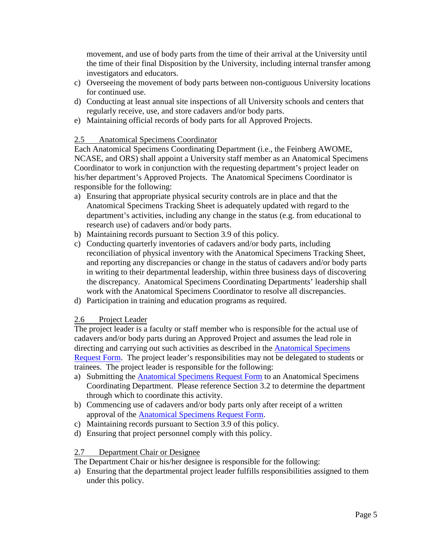movement, and use of body parts from the time of their arrival at the University until the time of their final Disposition by the University, including internal transfer among investigators and educators.

- c) Overseeing the movement of body parts between non-contiguous University locations for continued use.
- d) Conducting at least annual site inspections of all University schools and centers that regularly receive, use, and store cadavers and/or body parts.
- e) Maintaining official records of body parts for all Approved Projects.

### 2.5 Anatomical Specimens Coordinator

Each Anatomical Specimens Coordinating Department (i.e., the Feinberg AWOME, NCASE, and ORS) shall appoint a University staff member as an Anatomical Specimens Coordinator to work in conjunction with the requesting department's project leader on his/her department's Approved Projects. The Anatomical Specimens Coordinator is responsible for the following:

- a) Ensuring that appropriate physical security controls are in place and that the Anatomical Specimens Tracking Sheet is adequately updated with regard to the department's activities, including any change in the status (e.g. from educational to research use) of cadavers and/or body parts.
- b) Maintaining records pursuant to Section 3.9 of this policy.
- c) Conducting quarterly inventories of cadavers and/or body parts, including reconciliation of physical inventory with the Anatomical Specimens Tracking Sheet, and reporting any discrepancies or change in the status of cadavers and/or body parts in writing to their departmental leadership, within three business days of discovering the discrepancy. Anatomical Specimens Coordinating Departments' leadership shall work with the Anatomical Specimens Coordinator to resolve all discrepancies.
- d) Participation in training and education programs as required.

### 2.6 Project Leader

The project leader is a faculty or staff member who is responsible for the actual use of cadavers and/or body parts during an Approved Project and assumes the lead role in directing and carrying out such activities as described in the Anatomical Specimens [Request Form. The project leader's responsibilities may not be delegated to student](https://forms.feinberg.northwestern.edu/view.php?id=203857)s or trainees. The project leader is responsible for the following:

- a) Submitting the [Anatomical Specimens Request Form](https://forms.feinberg.northwestern.edu/view.php?id=203857) to an Anatomical Specimens Coordinating Department. Please reference Section 3.2 to determine the department through which to coordinate this activity.
- b) Commencing use of cadavers and/or body parts only after receipt of a written approval of the [Anatomical Specimens Request Form.](https://forms.feinberg.northwestern.edu/view.php?id=203857)
- c) Maintaining records pursuant to Section 3.9 of this policy.
- d) Ensuring that project personnel comply with this policy.

### 2.7 Department Chair or Designee

The Department Chair or his/her designee is responsible for the following:

a) Ensuring that the departmental project leader fulfills responsibilities assigned to them under this policy.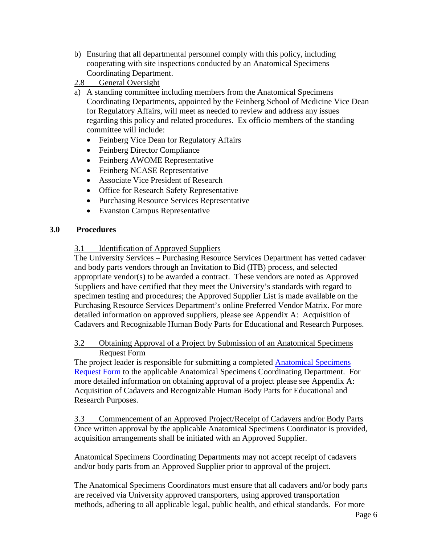- b) Ensuring that all departmental personnel comply with this policy, including cooperating with site inspections conducted by an Anatomical Specimens Coordinating Department.
- 2.8 General Oversight
- a) A standing committee including members from the Anatomical Specimens Coordinating Departments, appointed by the Feinberg School of Medicine Vice Dean for Regulatory Affairs, will meet as needed to review and address any issues regarding this policy and related procedures. Ex officio members of the standing committee will include:
	- Feinberg Vice Dean for Regulatory Affairs
	- Feinberg Director Compliance
	- Feinberg AWOME Representative
	- Feinberg NCASE Representative
	- Associate Vice President of Research
	- Office for Research Safety Representative
	- Purchasing Resource Services Representative
	- Evanston Campus Representative

### <span id="page-5-0"></span>**3.0 Procedures**

3.1 Identification of Approved Suppliers

The University Services – Purchasing Resource Services Department has vetted cadaver and body parts vendors through an Invitation to Bid (ITB) process, and selected appropriate vendor(s) to be awarded a contract. These vendors are noted as Approved Suppliers and have certified that they meet the University's standards with regard to specimen testing and procedures; the Approved Supplier List is made available on the Purchasing Resource Services Department's online Preferred Vendor Matrix. For more detailed information on approved suppliers, please see Appendix A: Acquisition of Cadavers and Recognizable Human Body Parts for Educational and Research Purposes.

3.2 Obtaining Approval of a Project by Submission of an Anatomical Specimens Request Form

The project leader is responsible for submitting a completed Anatomical Specimens Request Form to [the applicable Anatomical Specimens Coordinating Department. F](https://forms.feinberg.northwestern.edu/view.php?id=203857)or more detailed information on obtaining approval of a project please see Appendix A: Acquisition of Cadavers and Recognizable Human Body Parts for Educational and Research Purposes.

3.3 Commencement of an Approved Project/Receipt of Cadavers and/or Body Parts Once written approval by the applicable Anatomical Specimens Coordinator is provided, acquisition arrangements shall be initiated with an Approved Supplier.

Anatomical Specimens Coordinating Departments may not accept receipt of cadavers and/or body parts from an Approved Supplier prior to approval of the project.

The Anatomical Specimens Coordinators must ensure that all cadavers and/or body parts are received via University approved transporters, using approved transportation methods, adhering to all applicable legal, public health, and ethical standards. For more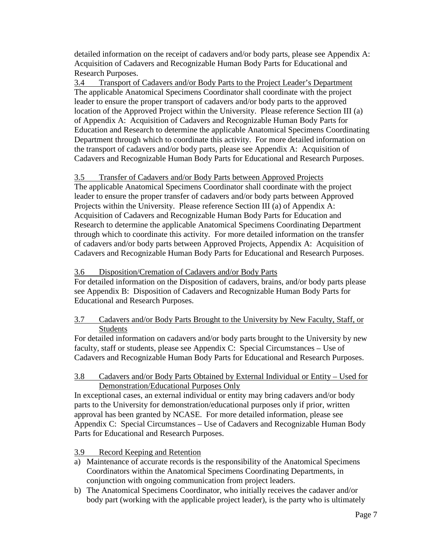detailed information on the receipt of cadavers and/or body parts, please see Appendix A: Acquisition of Cadavers and Recognizable Human Body Parts for Educational and Research Purposes.

3.4 Transport of Cadavers and/or Body Parts to the Project Leader's Department The applicable Anatomical Specimens Coordinator shall coordinate with the project leader to ensure the proper transport of cadavers and/or body parts to the approved location of the Approved Project within the University. Please reference Section III (a) of Appendix A: Acquisition of Cadavers and Recognizable Human Body Parts for Education and Research to determine the applicable Anatomical Specimens Coordinating Department through which to coordinate this activity. For more detailed information on the transport of cadavers and/or body parts, please see Appendix A: Acquisition of Cadavers and Recognizable Human Body Parts for Educational and Research Purposes.

### 3.5 Transfer of Cadavers and/or Body Parts between Approved Projects

The applicable Anatomical Specimens Coordinator shall coordinate with the project leader to ensure the proper transfer of cadavers and/or body parts between Approved Projects within the University. Please reference Section III (a) of Appendix A: Acquisition of Cadavers and Recognizable Human Body Parts for Education and Research to determine the applicable Anatomical Specimens Coordinating Department through which to coordinate this activity. For more detailed information on the transfer of cadavers and/or body parts between Approved Projects, Appendix A: Acquisition of Cadavers and Recognizable Human Body Parts for Educational and Research Purposes.

### 3.6 Disposition/Cremation of Cadavers and/or Body Parts

For detailed information on the Disposition of cadavers, brains, and/or body parts please see Appendix B: Disposition of Cadavers and Recognizable Human Body Parts for Educational and Research Purposes.

### 3.7 Cadavers and/or Body Parts Brought to the University by New Faculty, Staff, or Students

For detailed information on cadavers and/or body parts brought to the University by new faculty, staff or students, please see Appendix C: Special Circumstances – Use of Cadavers and Recognizable Human Body Parts for Educational and Research Purposes.

### 3.8 Cadavers and/or Body Parts Obtained by External Individual or Entity – Used for Demonstration/Educational Purposes Only

In exceptional cases, an external individual or entity may bring cadavers and/or body parts to the University for demonstration/educational purposes only if prior, written approval has been granted by NCASE. For more detailed information, please see Appendix C: Special Circumstances – Use of Cadavers and Recognizable Human Body Parts for Educational and Research Purposes.

### 3.9 Record Keeping and Retention

- a) Maintenance of accurate records is the responsibility of the Anatomical Specimens Coordinators within the Anatomical Specimens Coordinating Departments, in conjunction with ongoing communication from project leaders.
- b) The Anatomical Specimens Coordinator, who initially receives the cadaver and/or body part (working with the applicable project leader), is the party who is ultimately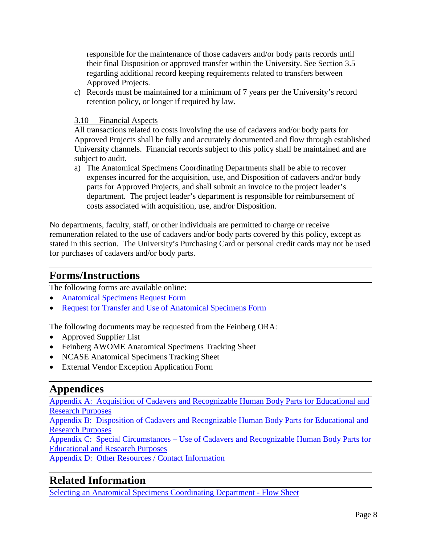responsible for the maintenance of those cadavers and/or body parts records until their final Disposition or approved transfer within the University. See Section 3.5 regarding additional record keeping requirements related to transfers between Approved Projects.

c) Records must be maintained for a minimum of 7 years per the University's record retention policy, or longer if required by law.

### 3.10 Financial Aspects

All transactions related to costs involving the use of cadavers and/or body parts for Approved Projects shall be fully and accurately documented and flow through established University channels. Financial records subject to this policy shall be maintained and are subject to audit.

a) The Anatomical Specimens Coordinating Departments shall be able to recover expenses incurred for the acquisition, use, and Disposition of cadavers and/or body parts for Approved Projects, and shall submit an invoice to the project leader's department. The project leader's department is responsible for reimbursement of costs associated with acquisition, use, and/or Disposition.

No departments, faculty, staff, or other individuals are permitted to charge or receive remuneration related to the use of cadavers and/or body parts covered by this policy, except as stated in this section. The University's Purchasing Card or personal credit cards may not be used for purchases of cadavers and/or body parts.

### <span id="page-7-0"></span>**Forms/Instructions**

The following forms are available online:

- [Anatomical Specimens Request Form](https://forms.feinberg.northwestern.edu/view.php?id=203857)
- [Request for Transfer and Use of Anatomical Specimens Form](https://forms.feinberg.northwestern.edu/view.php?id=203857)

The following documents may be requested from the Feinberg ORA:

- Approved Supplier List
- Feinberg AWOME Anatomical Specimens Tracking Sheet
- NCASE Anatomical Specimens Tracking Sheet
- External Vendor Exception Application Form

# <span id="page-7-1"></span>**Appendices**

[Appendix A: Acquisition of Cadavers and Recognizable Human Body Parts for Educational and](http://www.feinberg.northwestern.edu/compliance/documents/Appendix_A.pdf)  [Research Purposes](http://www.feinberg.northwestern.edu/compliance/documents/Appendix_A.pdf)

[Appendix B: Disposition of Cadavers and Recognizable Human Body Parts for Educational and](http://www.feinberg.northwestern.edu/compliance/documents/Appendix_B.pdf)  [Research Purposes](http://www.feinberg.northwestern.edu/compliance/documents/Appendix_B.pdf)

[Appendix C: Special Circumstances – Use of Cadavers and Recognizable Human Body Parts for](http://www.feinberg.northwestern.edu/compliance/documents/Appendix_C.pdf)  [Educational and Research Purposes](http://www.feinberg.northwestern.edu/compliance/documents/Appendix_C.pdf) 

[Appendix D: Other Resources / Contact Information](http://www.feinberg.northwestern.edu/compliance/documents/Appendix_D.pdf)

# <span id="page-7-2"></span>**Related Information**

[Selecting an Anatomical Specimens Coordinating Department - Flow Sheet](http://www.feinberg.northwestern.edu/compliance/documents/Flow_Sheet.pdf)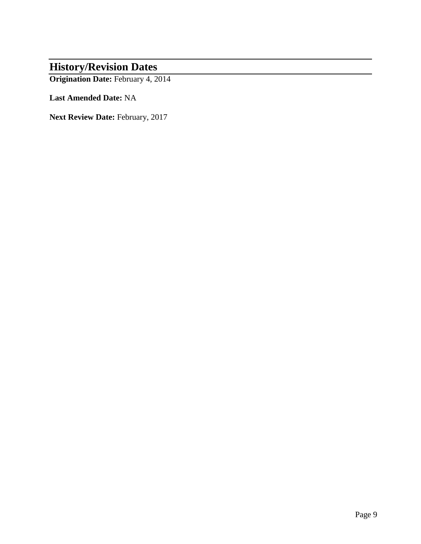# <span id="page-8-0"></span>**History/Revision Dates**

**Origination Date:** February 4, 2014

**Last Amended Date:** NA

**Next Review Date:** February, 2017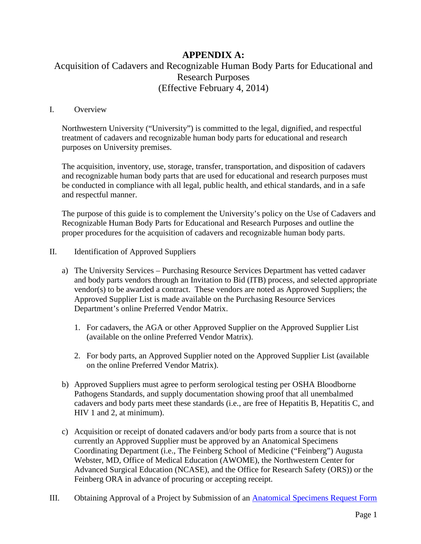### **APPENDIX A:** Acquisition of Cadavers and Recognizable Human Body Parts for Educational and Research Purposes (Effective February 4, 2014)

#### I. Overview

Northwestern University ("University") is committed to the legal, dignified, and respectful treatment of cadavers and recognizable human body parts for educational and research purposes on University premises.

The acquisition, inventory, use, storage, transfer, transportation, and disposition of cadavers and recognizable human body parts that are used for educational and research purposes must be conducted in compliance with all legal, public health, and ethical standards, and in a safe and respectful manner.

The purpose of this guide is to complement the University's policy on the Use of Cadavers and Recognizable Human Body Parts for Educational and Research Purposes and outline the proper procedures for the acquisition of cadavers and recognizable human body parts.

### II. Identification of Approved Suppliers

- a) The University Services Purchasing Resource Services Department has vetted cadaver and body parts vendors through an Invitation to Bid (ITB) process, and selected appropriate vendor(s) to be awarded a contract. These vendors are noted as Approved Suppliers; the Approved Supplier List is made available on the Purchasing Resource Services Department's online Preferred Vendor Matrix.
	- 1. For cadavers, the AGA or other Approved Supplier on the Approved Supplier List (available on the online Preferred Vendor Matrix).
	- 2. For body parts, an Approved Supplier noted on the Approved Supplier List (available on the online Preferred Vendor Matrix).
- b) Approved Suppliers must agree to perform serological testing per OSHA Bloodborne Pathogens Standards, and supply documentation showing proof that all unembalmed cadavers and body parts meet these standards (i.e., are free of Hepatitis B, Hepatitis C, and HIV 1 and 2, at minimum).
- c) Acquisition or receipt of donated cadavers and/or body parts from a source that is not currently an Approved Supplier must be approved by an Anatomical Specimens Coordinating Department (i.e., The Feinberg School of Medicine ("Feinberg") Augusta Webster, MD, Office of Medical Education (AWOME), the Northwestern Center for Advanced Surgical Education (NCASE), and the Office for Research Safety (ORS)) or the Feinberg ORA in advance of procuring or accepting receipt.
- III. Obtaining Approval of a Project by Submission of an **[Anatomical Specimens Request Form](https://forms.feinberg.northwestern.edu/view.php?id=203857)**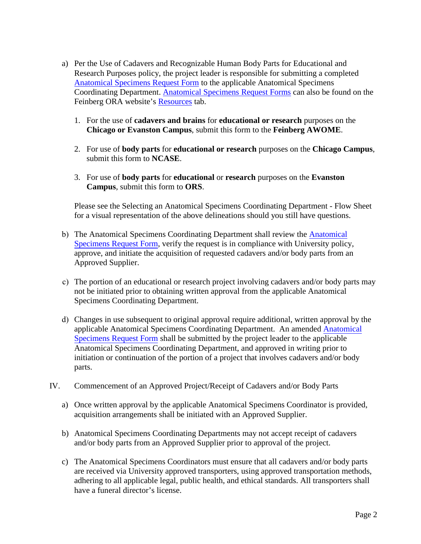- a) Per the Use of Cadavers and Recognizable Human Body Parts for Educational and Research Purposes policy, the project leader is responsible for submitting a completed [Anatomical Specimens Request Form](https://forms.feinberg.northwestern.edu/view.php?id=203857) to the applicable Anatomical Specimens Coordinating Department. [Anatomical Specimens Request Forms](https://forms.feinberg.northwestern.edu/view.php?id=203857) can also be found on the Feinberg ORA website's [Resources](http://www.feinberg.northwestern.edu/compliance/resources/index.html) tab.
	- 1. For the use of **cadavers and brains** for **educational or research** purposes on the **Chicago or Evanston Campus**, submit this form to the **Feinberg AWOME**.
	- 2. For use of **body parts** for **educational or research** purposes on the **Chicago Campus**, submit this form to **NCASE**.
	- 3. For use of **body parts** for **educational** or **research** purposes on the **Evanston Campus**, submit this form to **ORS**.

Please see the Selecting an Anatomical Specimens Coordinating Department - Flow Sheet for a visual representation of the above delineations should you still have questions.

- b) The Anatomical Specimens Coordinating Department shall review the Anatomical [Specimens Request Form, verify the request is in compliance with University polic](https://forms.feinberg.northwestern.edu/view.php?id=203857)y, approve, and initiate the acquisition of requested cadavers and/or body parts from an Approved Supplier.
- c) The portion of an educational or research project involving cadavers and/or body parts may not be initiated prior to obtaining written approval from the applicable Anatomical Specimens Coordinating Department.
- d) Changes in use subsequent to original approval require additional, written approval by the [applicable Anatomical Specimens Coordinating Department. An amended Anatomical](https://forms.feinberg.northwestern.edu/view.php?id=203857) Specimens Request Form shall be submitted by the project leader to the applicable Anatomical Specimens Coordinating Department, and approved in writing prior to initiation or continuation of the portion of a project that involves cadavers and/or body parts.
- IV. Commencement of an Approved Project/Receipt of Cadavers and/or Body Parts
	- a) Once written approval by the applicable Anatomical Specimens Coordinator is provided, acquisition arrangements shall be initiated with an Approved Supplier.
	- b) Anatomical Specimens Coordinating Departments may not accept receipt of cadavers and/or body parts from an Approved Supplier prior to approval of the project.
	- c) The Anatomical Specimens Coordinators must ensure that all cadavers and/or body parts are received via University approved transporters, using approved transportation methods, adhering to all applicable legal, public health, and ethical standards. All transporters shall have a funeral director's license.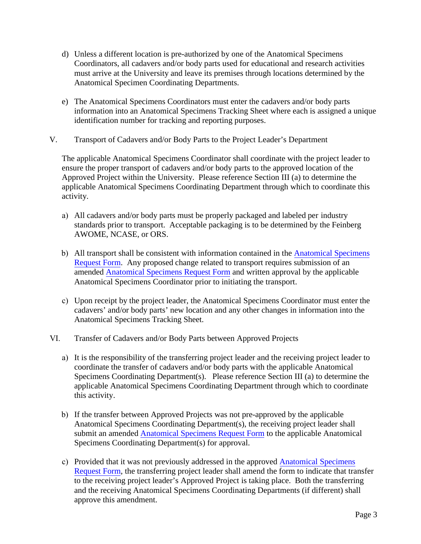- d) Unless a different location is pre-authorized by one of the Anatomical Specimens Coordinators, all cadavers and/or body parts used for educational and research activities must arrive at the University and leave its premises through locations determined by the Anatomical Specimen Coordinating Departments.
- e) The Anatomical Specimens Coordinators must enter the cadavers and/or body parts information into an Anatomical Specimens Tracking Sheet where each is assigned a unique identification number for tracking and reporting purposes.
- V. Transport of Cadavers and/or Body Parts to the Project Leader's Department

The applicable Anatomical Specimens Coordinator shall coordinate with the project leader to ensure the proper transport of cadavers and/or body parts to the approved location of the Approved Project within the University. Please reference Section III (a) to determine the applicable Anatomical Specimens Coordinating Department through which to coordinate this activity.

- a) All cadavers and/or body parts must be properly packaged and labeled per industry standards prior to transport. Acceptable packaging is to be determined by the Feinberg AWOME, NCASE, or ORS.
- b) All transport shall be consistent with information contained in the Anatomical Specimens [Request Form. Any proposed change related to transport requires submission of an](https://forms.feinberg.northwestern.edu/view.php?id=203857) amended [Anatomical Specimens Request Form](https://forms.feinberg.northwestern.edu/view.php?id=203857) and written approval by the applicable Anatomical Specimens Coordinator prior to initiating the transport.
- c) Upon receipt by the project leader, the Anatomical Specimens Coordinator must enter the cadavers' and/or body parts' new location and any other changes in information into the Anatomical Specimens Tracking Sheet.
- VI. Transfer of Cadavers and/or Body Parts between Approved Projects
	- a) It is the responsibility of the transferring project leader and the receiving project leader to coordinate the transfer of cadavers and/or body parts with the applicable Anatomical Specimens Coordinating Department(s). Please reference Section III (a) to determine the applicable Anatomical Specimens Coordinating Department through which to coordinate this activity.
	- b) If the transfer between Approved Projects was not pre-approved by the applicable Anatomical Specimens Coordinating Department(s), the receiving project leader shall submit an amended [Anatomical Specimens Request Form](https://forms.feinberg.northwestern.edu/view.php?id=203857) to the applicable Anatomical Specimens Coordinating Department(s) for approval.
	- c) [Provided that it was not previously addressed in the approved Anatomical Specimens](https://forms.feinberg.northwestern.edu/view.php?id=203857) Request Form, the transferring project leader shall amend the form to indicate that transfer to the receiving project leader's Approved Project is taking place. Both the transferring and the receiving Anatomical Specimens Coordinating Departments (if different) shall approve this amendment.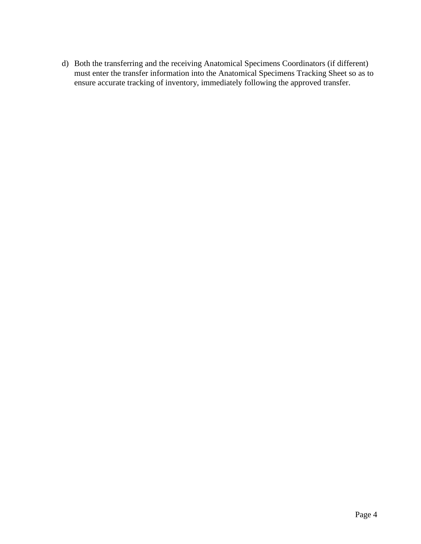d) Both the transferring and the receiving Anatomical Specimens Coordinators (if different) must enter the transfer information into the Anatomical Specimens Tracking Sheet so as to ensure accurate tracking of inventory, immediately following the approved transfer.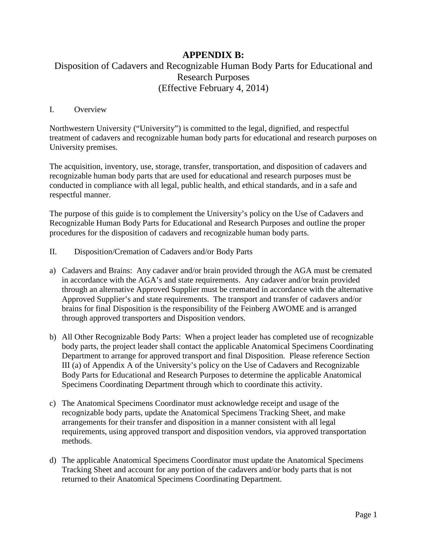### **APPENDIX B:**

### Disposition of Cadavers and Recognizable Human Body Parts for Educational and Research Purposes (Effective February 4, 2014)

### I. Overview

Northwestern University ("University") is committed to the legal, dignified, and respectful treatment of cadavers and recognizable human body parts for educational and research purposes on University premises.

The acquisition, inventory, use, storage, transfer, transportation, and disposition of cadavers and recognizable human body parts that are used for educational and research purposes must be conducted in compliance with all legal, public health, and ethical standards, and in a safe and respectful manner.

The purpose of this guide is to complement the University's policy on the Use of Cadavers and Recognizable Human Body Parts for Educational and Research Purposes and outline the proper procedures for the disposition of cadavers and recognizable human body parts.

- II. Disposition/Cremation of Cadavers and/or Body Parts
- a) Cadavers and Brains: Any cadaver and/or brain provided through the AGA must be cremated in accordance with the AGA's and state requirements. Any cadaver and/or brain provided through an alternative Approved Supplier must be cremated in accordance with the alternative Approved Supplier's and state requirements. The transport and transfer of cadavers and/or brains for final Disposition is the responsibility of the Feinberg AWOME and is arranged through approved transporters and Disposition vendors.
- b) All Other Recognizable Body Parts: When a project leader has completed use of recognizable body parts, the project leader shall contact the applicable Anatomical Specimens Coordinating Department to arrange for approved transport and final Disposition. Please reference Section III (a) of Appendix A of the University's policy on the Use of Cadavers and Recognizable Body Parts for Educational and Research Purposes to determine the applicable Anatomical Specimens Coordinating Department through which to coordinate this activity.
- c) The Anatomical Specimens Coordinator must acknowledge receipt and usage of the recognizable body parts, update the Anatomical Specimens Tracking Sheet, and make arrangements for their transfer and disposition in a manner consistent with all legal requirements, using approved transport and disposition vendors, via approved transportation methods.
- d) The applicable Anatomical Specimens Coordinator must update the Anatomical Specimens Tracking Sheet and account for any portion of the cadavers and/or body parts that is not returned to their Anatomical Specimens Coordinating Department.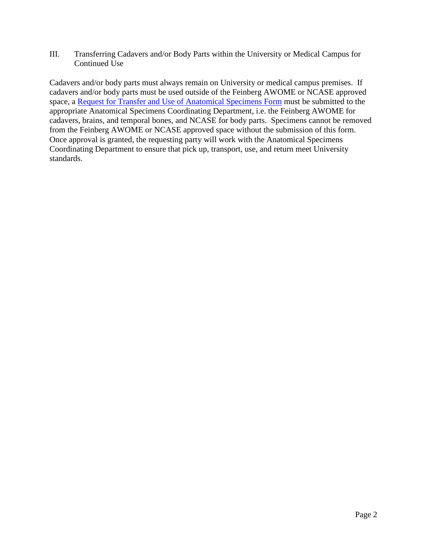III. Transferring Cadavers and/or Body Parts within the University or Medical Campus for Continued Use

Cadavers and/or body parts must always remain on University or medical campus premises. If cadavers and/or body parts must be used outside of the Feinberg AWOME or NCASE approved space, a [Request for Transfer and Use of Anatomical Specimens Form](https://forms.feinberg.northwestern.edu/view.php?id=203857) must be submitted to the appropriate Anatomical Specimens Coordinating Department, i.e. the Feinberg AWOME for cadavers, brains, and temporal bones, and NCASE for body parts. Specimens cannot be removed from the Feinberg AWOME or NCASE approved space without the submission of this form. Once approval is granted, the requesting party will work with the Anatomical Specimens Coordinating Department to ensure that pick up, transport, use, and return meet University standards.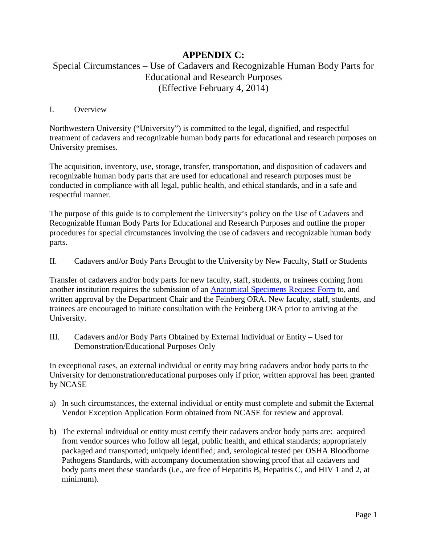### **APPENDIX C:**

### Special Circumstances – Use of Cadavers and Recognizable Human Body Parts for Educational and Research Purposes (Effective February 4, 2014)

### I. Overview

Northwestern University ("University") is committed to the legal, dignified, and respectful treatment of cadavers and recognizable human body parts for educational and research purposes on University premises.

The acquisition, inventory, use, storage, transfer, transportation, and disposition of cadavers and recognizable human body parts that are used for educational and research purposes must be conducted in compliance with all legal, public health, and ethical standards, and in a safe and respectful manner.

The purpose of this guide is to complement the University's policy on the Use of Cadavers and Recognizable Human Body Parts for Educational and Research Purposes and outline the proper procedures for special circumstances involving the use of cadavers and recognizable human body parts.

II. Cadavers and/or Body Parts Brought to the University by New Faculty, Staff or Students

Transfer of cadavers and/or body parts for new faculty, staff, students, or trainees coming from another institution requires the submission of an [Anatomical Specimens Request Form](https://forms.feinberg.northwestern.edu/view.php?id=203857) to, and written approval by the Department Chair and the Feinberg ORA. New faculty, staff, students, and trainees are encouraged to initiate consultation with the Feinberg ORA prior to arriving at the University.

III. Cadavers and/or Body Parts Obtained by External Individual or Entity – Used for Demonstration/Educational Purposes Only

In exceptional cases, an external individual or entity may bring cadavers and/or body parts to the University for demonstration/educational purposes only if prior, written approval has been granted by NCASE

- a) In such circumstances, the external individual or entity must complete and submit the External Vendor Exception Application Form obtained from NCASE for review and approval.
- b) The external individual or entity must certify their cadavers and/or body parts are: acquired from vendor sources who follow all legal, public health, and ethical standards; appropriately packaged and transported; uniquely identified; and, serological tested per OSHA Bloodborne Pathogens Standards, with accompany documentation showing proof that all cadavers and body parts meet these standards (i.e., are free of Hepatitis B, Hepatitis C, and HIV 1 and 2, at minimum).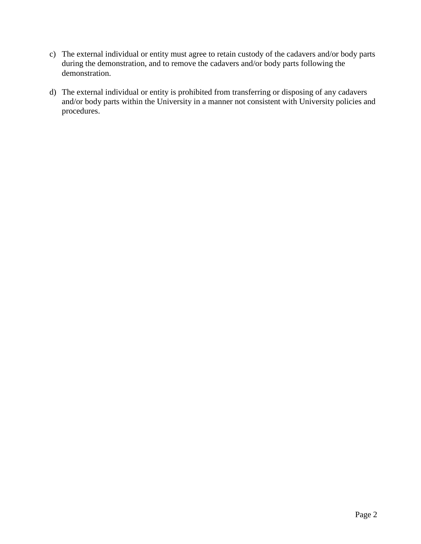- c) The external individual or entity must agree to retain custody of the cadavers and/or body parts during the demonstration, and to remove the cadavers and/or body parts following the demonstration.
- d) The external individual or entity is prohibited from transferring or disposing of any cadavers and/or body parts within the University in a manner not consistent with University policies and procedures.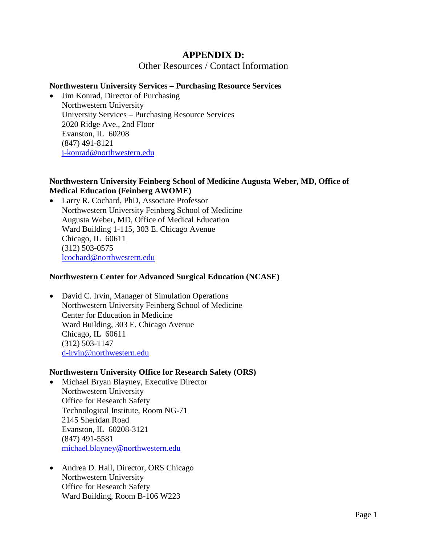### **APPENDIX D:**

Other Resources / Contact Information

#### **Northwestern University Services – Purchasing Resource Services**

• Jim Konrad, Director of Purchasing Northwestern University University Services – Purchasing Resource Services 2020 Ridge Ave., 2nd Floor Evanston, IL 60208 (847) 491-8121 [j-konrad@northwestern.edu](mailto:j-konrad@northwestern.edu)

### **Northwestern University Feinberg School of Medicine Augusta Weber, MD, Office of Medical Education (Feinberg AWOME)**

• Larry R. Cochard, PhD, Associate Professor Northwestern University Feinberg School of Medicine Augusta Weber, MD, Office of Medical Education Ward Building 1-115, 303 E. Chicago Avenue Chicago, IL 60611 (312) 503-0575 [lcochard@northwestern.edu](mailto:lcochard@northwestern.edu)

#### **Northwestern Center for Advanced Surgical Education (NCASE)**

• David C. Irvin, Manager of Simulation Operations Northwestern University Feinberg School of Medicine Center for Education in Medicine Ward Building, 303 E. Chicago Avenue Chicago, IL 60611 (312) 503-1147 [d-irvin@northwestern.edu](mailto:d-irvin@northwestern.edu)

#### **Northwestern University Office for Research Safety (ORS)**

- Michael Bryan Blayney, Executive Director Northwestern University Office for Research Safety Technological Institute, Room NG-71 2145 Sheridan Road Evanston, IL 60208-3121 (847) 491-5581 [michael.blayney@northwestern.edu](mailto:michael.blayney@northwestern.edu)
- Andrea D. Hall, Director, ORS Chicago Northwestern University Office for Research Safety Ward Building, Room B-106 W223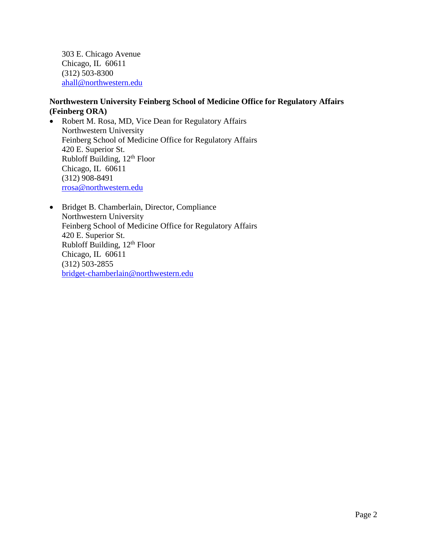303 E. Chicago Avenue Chicago, IL 60611 (312) 503-8300 [ahall@northwestern.edu](mailto:ahall@northwestern.edu)

### **Northwestern University Feinberg School of Medicine Office for Regulatory Affairs (Feinberg ORA)**

- Robert M. Rosa, MD, Vice Dean for Regulatory Affairs Northwestern University Feinberg School of Medicine Office for Regulatory Affairs 420 E. Superior St. Rubloff Building,  $12<sup>th</sup>$  Floor Chicago, IL 60611 (312) 908-8491 [rrosa@northwestern.edu](mailto:rrosa@northwestern.edu)
- Bridget B. Chamberlain, Director, Compliance Northwestern University Feinberg School of Medicine Office for Regulatory Affairs 420 E. Superior St. Rubloff Building, 12<sup>th</sup> Floor Chicago, IL 60611 (312) 503-2855 [bridget-chamberlain@northwestern.edu](mailto:bridget-chamberlain@northwestern.edu)